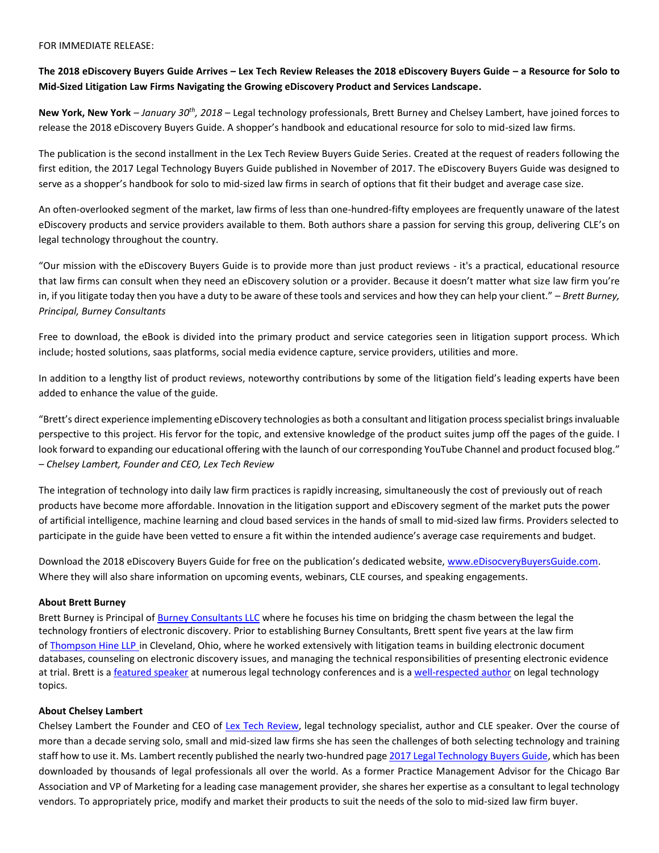#### FOR IMMEDIATE RELEASE:

# **The 2018 eDiscovery Buyers Guide Arrives – Lex Tech Review Releases the 2018 eDiscovery Buyers Guide – a Resource for Solo to Mid-Sized Litigation Law Firms Navigating the Growing eDiscovery Product and Services Landscape.**

**New York, New York** *– January 30th, 2018* – Legal technology professionals, Brett Burney and Chelsey Lambert, have joined forces to release the 2018 eDiscovery [Buyers Guide.](https://learn.lextechreview.com/2018-ediscovery-buyers-guide) A shopper's handbook and educational resource for solo to mid-sized law firms.

The publication is the second installment in the Lex Tech Review Buyers Guide Series. Created at the request of readers following the first edition, the 2017 Legal Technology Buyers Guide published in November of 2017. The eDiscovery Buyers Guide was designed to serve as a shopper's handbook for solo to mid-sized law firms in search of options that fit their budget and average case size.

An often-overlooked segment of the market, law firms of less than one-hundred-fifty employees are frequently unaware of the latest eDiscovery products and service providers available to them. Both authors share a passion for serving this group, delivering CLE's on legal technology throughout the country.

"Our mission with the eDiscovery Buyers Guide is to provide more than just product reviews - it's a practical, educational resource that law firms can consult when they need an eDiscovery solution or a provider. Because it doesn't matter what size law firm you're in, if you litigate today then you have a duty to be aware of these tools and services and how they can help your client." – *Brett Burney, Principal, Burney Consultants*

Free to download, the eBook is divided into the primary product and service categories seen in litigation support process. Which include; hosted solutions, saas platforms, social media evidence capture, service providers, utilities and more.

In addition to a lengthy list of product reviews, noteworthy contributions by some of the litigation field's leading experts have been added to enhance the value of the guide.

"Brett's direct experience implementing eDiscovery technologies as both a consultant and litigation process specialist brings invaluable perspective to this project. His fervor for the topic, and extensive knowledge of the product suites jump off the pages of the guide. I look forward to expanding our educational offering with the launch of our corresponding YouTube Channel and product focused blog." *– Chelsey Lambert, Founder and CEO, Lex Tech Review*

The integration of technology into daily law firm practices is rapidly increasing, simultaneously the cost of previously out of reach products have become more affordable. Innovation in the litigation support and eDiscovery segment of the market puts the power of artificial intelligence, machine learning and cloud based services in the hands of small to mid-sized law firms. Providers selected to participate in the guide have been vetted to ensure a fit within the intended audience's average case requirements and budget.

Download the 2018 eDiscovery Buyers Guide for free on the publication's dedicated website, [www.eDisocveryBuyersGuide.com.](http://www.edisocverybuyersguide.com/) Where they will also share information on upcoming events, webinars, CLE courses, and speaking engagements.

## **About Brett Burney**

Brett Burney is Principal of [Burney Consultants LLC](http://www.burneyconsultants.com/) where he focuses his time on bridging the chasm between the legal the technology frontiers of electronic discovery. Prior to establishing Burney Consultants, Brett spent five years at the law firm of [Thompson Hine LLP](http://www.thompsonhine.com/) in Cleveland, Ohio, where he worked extensively with litigation teams in building electronic document databases, counseling on electronic discovery issues, and managing the technical responsibilities of presenting electronic evidence at trial. Brett is a [featured speaker](http://www.burneyconsultants.com/events.html) at numerous legal technology conferences and is a [well-respected author](http://www.burneyconsultants.com/articles.html) on legal technology topics.

## **About Chelsey Lambert**

Chelsey Lambert the Founder and CEO of [Lex Tech Review,](http://www.lextechreview.com/) legal technology specialist, author and CLE speaker. Over the course of more than a decade serving solo, small and mid-sized law firms she has seen the challenges of both selecting technology and training staff how to use it. Ms. Lambert recently published the nearly two-hundred page [2017 Legal Technology Buyers Guide,](https://learn.lextechreview.com/legal-technology-buyers-guide) which has been downloaded by thousands of legal professionals all over the world. As a former Practice Management Advisor for the Chicago Bar Association and VP of Marketing for a leading case management provider, she shares her expertise as a consultant to legal technology vendors. To appropriately price, modify and market their products to suit the needs of the solo to mid-sized law firm buyer.